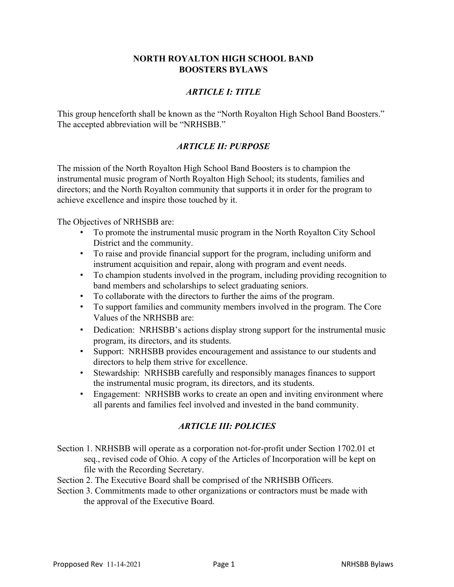### **NORTH ROYALTON HIGH SCHOOL BAND BOOSTERS BYLAWS**

## *ARTICLE I: TITLE*

This group henceforth shall be known as the "North Royalton High School Band Boosters." The accepted abbreviation will be "NRHSBB."

### *ARTICLE II: PURPOSE*

The mission of the North Royalton High School Band Boosters is to champion the instrumental music program of North Royalton High School; its students, families and directors; and the North Royalton community that supports it in order for the program to achieve excellence and inspire those touched by it.

The Objectives of NRHSBB are:

- To promote the instrumental music program in the North Royalton City School District and the community.
- To raise and provide financial support for the program, including uniform and instrument acquisition and repair, along with program and event needs.
- To champion students involved in the program, including providing recognition to band members and scholarships to select graduating seniors.
- To collaborate with the directors to further the aims of the program.
- To support families and community members involved in the program. The Core Values of the NRHSBB are:
- Dedication: NRHSBB's actions display strong support for the instrumental music program, its directors, and its students.
- Support: NRHSBB provides encouragement and assistance to our students and directors to help them strive for excellence.
- Stewardship: NRHSBB carefully and responsibly manages finances to support the instrumental music program, its directors, and its students.
- Engagement: NRHSBB works to create an open and inviting environment where all parents and families feel involved and invested in the band community.

# *ARTICLE III: POLICIES*

- Section 1. NRHSBB will operate as a corporation not-for-profit under Section 1702.01 et seq., revised code of Ohio. A copy of the Articles of Incorporation will be kept on file with the Recording Secretary.
- Section 2. The Executive Board shall be comprised of the NRHSBB Officers.
- Section 3. Commitments made to other organizations or contractors must be made with the approval of the Executive Board.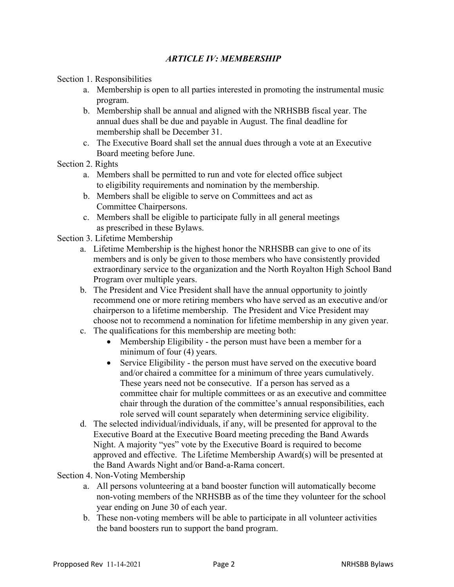### *ARTICLE IV: MEMBERSHIP*

Section 1. Responsibilities

- a. Membership is open to all parties interested in promoting the instrumental music program.
- b. Membership shall be annual and aligned with the NRHSBB fiscal year. The annual dues shall be due and payable in August. The final deadline for membership shall be December 31.
- c. The Executive Board shall set the annual dues through a vote at an Executive Board meeting before June.

#### Section 2. Rights

- a. Members shall be permitted to run and vote for elected office subject to eligibility requirements and nomination by the membership.
- b. Members shall be eligible to serve on Committees and act as Committee Chairpersons.
- c. Members shall be eligible to participate fully in all general meetings as prescribed in these Bylaws.
- Section 3. Lifetime Membership
	- a. Lifetime Membership is the highest honor the NRHSBB can give to one of its members and is only be given to those members who have consistently provided extraordinary service to the organization and the North Royalton High School Band Program over multiple years.
	- b. The President and Vice President shall have the annual opportunity to jointly recommend one or more retiring members who have served as an executive and/or chairperson to a lifetime membership. The President and Vice President may choose not to recommend a nomination for lifetime membership in any given year.
	- c. The qualifications for this membership are meeting both:
		- Membership Eligibility the person must have been a member for a minimum of four (4) years.
		- Service Eligibility the person must have served on the executive board and/or chaired a committee for a minimum of three years cumulatively. These years need not be consecutive. If a person has served as a committee chair for multiple committees or as an executive and committee chair through the duration of the committee's annual responsibilities, each role served will count separately when determining service eligibility.
	- d. The selected individual/individuals, if any, will be presented for approval to the Executive Board at the Executive Board meeting preceding the Band Awards Night. A majority "yes" vote by the Executive Board is required to become approved and effective. The Lifetime Membership Award(s) will be presented at the Band Awards Night and/or Band-a-Rama concert.

Section 4. Non-Voting Membership

- a. All persons volunteering at a band booster function will automatically become non-voting members of the NRHSBB as of the time they volunteer for the school year ending on June 30 of each year.
- b. These non-voting members will be able to participate in all volunteer activities the band boosters run to support the band program.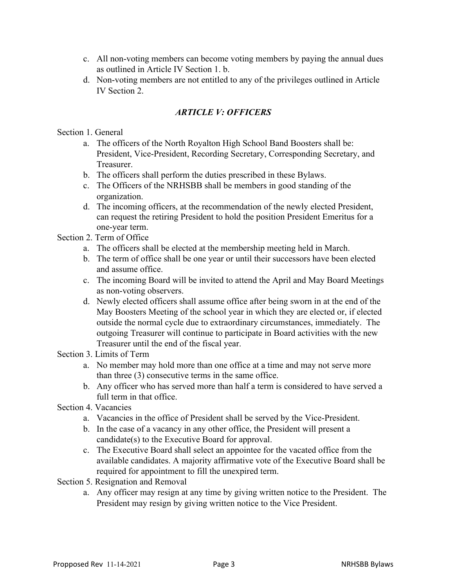- c. All non-voting members can become voting members by paying the annual dues as outlined in Article IV Section 1. b.
- d. Non-voting members are not entitled to any of the privileges outlined in Article IV Section 2.

## *ARTICLE V: OFFICERS*

Section 1. General

- a. The officers of the North Royalton High School Band Boosters shall be: President, Vice-President, Recording Secretary, Corresponding Secretary, and Treasurer.
- b. The officers shall perform the duties prescribed in these Bylaws.
- c. The Officers of the NRHSBB shall be members in good standing of the organization.
- d. The incoming officers, at the recommendation of the newly elected President, can request the retiring President to hold the position President Emeritus for a one-year term.

Section 2. Term of Office

- a. The officers shall be elected at the membership meeting held in March.
- b. The term of office shall be one year or until their successors have been elected and assume office.
- c. The incoming Board will be invited to attend the April and May Board Meetings as non-voting observers.
- d. Newly elected officers shall assume office after being sworn in at the end of the May Boosters Meeting of the school year in which they are elected or, if elected outside the normal cycle due to extraordinary circumstances, immediately. The outgoing Treasurer will continue to participate in Board activities with the new Treasurer until the end of the fiscal year.

Section 3. Limits of Term

- a. No member may hold more than one office at a time and may not serve more than three (3) consecutive terms in the same office.
- b. Any officer who has served more than half a term is considered to have served a full term in that office.
- Section 4. Vacancies
	- a. Vacancies in the office of President shall be served by the Vice-President.
	- b. In the case of a vacancy in any other office, the President will present a candidate(s) to the Executive Board for approval.
	- c. The Executive Board shall select an appointee for the vacated office from the available candidates. A majority affirmative vote of the Executive Board shall be required for appointment to fill the unexpired term.
- Section 5. Resignation and Removal
	- a. Any officer may resign at any time by giving written notice to the President. The President may resign by giving written notice to the Vice President.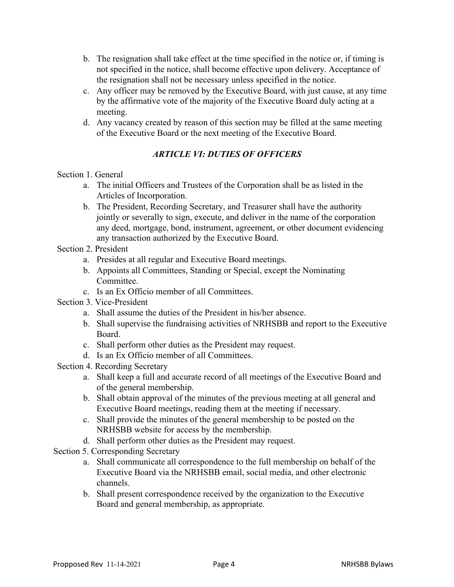- b. The resignation shall take effect at the time specified in the notice or, if timing is not specified in the notice, shall become effective upon delivery. Acceptance of the resignation shall not be necessary unless specified in the notice.
- c. Any officer may be removed by the Executive Board, with just cause, at any time by the affirmative vote of the majority of the Executive Board duly acting at a meeting.
- d. Any vacancy created by reason of this section may be filled at the same meeting of the Executive Board or the next meeting of the Executive Board.

# *ARTICLE VI: DUTIES OF OFFICERS*

### Section 1. General

- a. The initial Officers and Trustees of the Corporation shall be as listed in the Articles of Incorporation.
- b. The President, Recording Secretary, and Treasurer shall have the authority jointly or severally to sign, execute, and deliver in the name of the corporation any deed, mortgage, bond, instrument, agreement, or other document evidencing any transaction authorized by the Executive Board.

# Section 2. President

- a. Presides at all regular and Executive Board meetings.
- b. Appoints all Committees, Standing or Special, except the Nominating Committee.
- c. Is an Ex Officio member of all Committees.
- Section 3. Vice-President
	- a. Shall assume the duties of the President in his/her absence.
	- b. Shall supervise the fundraising activities of NRHSBB and report to the Executive Board.
	- c. Shall perform other duties as the President may request.
	- d. Is an Ex Officio member of all Committees.
- Section 4. Recording Secretary
	- a. Shall keep a full and accurate record of all meetings of the Executive Board and of the general membership.
	- b. Shall obtain approval of the minutes of the previous meeting at all general and Executive Board meetings, reading them at the meeting if necessary.
	- c. Shall provide the minutes of the general membership to be posted on the NRHSBB website for access by the membership.
	- d. Shall perform other duties as the President may request.

Section 5. Corresponding Secretary

- a. Shall communicate all correspondence to the full membership on behalf of the Executive Board via the NRHSBB email, social media, and other electronic channels.
- b. Shall present correspondence received by the organization to the Executive Board and general membership, as appropriate.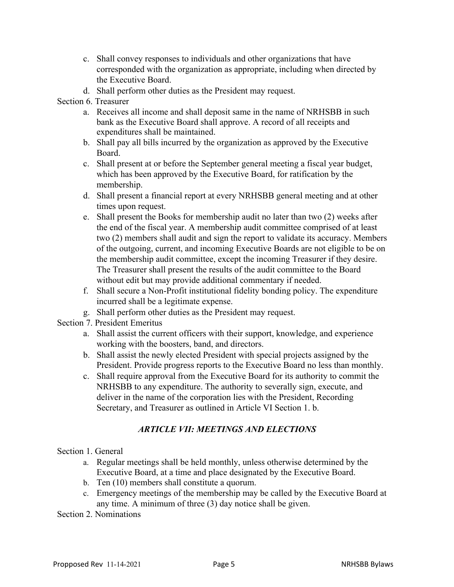- c. Shall convey responses to individuals and other organizations that have corresponded with the organization as appropriate, including when directed by the Executive Board.
- d. Shall perform other duties as the President may request.

## Section 6. Treasurer

- a. Receives all income and shall deposit same in the name of NRHSBB in such bank as the Executive Board shall approve. A record of all receipts and expenditures shall be maintained.
- b. Shall pay all bills incurred by the organization as approved by the Executive Board.
- c. Shall present at or before the September general meeting a fiscal year budget, which has been approved by the Executive Board, for ratification by the membership.
- d. Shall present a financial report at every NRHSBB general meeting and at other times upon request.
- e. Shall present the Books for membership audit no later than two (2) weeks after the end of the fiscal year. A membership audit committee comprised of at least two (2) members shall audit and sign the report to validate its accuracy. Members of the outgoing, current, and incoming Executive Boards are not eligible to be on the membership audit committee, except the incoming Treasurer if they desire. The Treasurer shall present the results of the audit committee to the Board without edit but may provide additional commentary if needed.
- f. Shall secure a Non-Profit institutional fidelity bonding policy. The expenditure incurred shall be a legitimate expense.
- g. Shall perform other duties as the President may request.
- Section 7. President Emeritus
	- a. Shall assist the current officers with their support, knowledge, and experience working with the boosters, band, and directors.
	- b. Shall assist the newly elected President with special projects assigned by the President. Provide progress reports to the Executive Board no less than monthly.
	- c. Shall require approval from the Executive Board for its authority to commit the NRHSBB to any expenditure. The authority to severally sign, execute, and deliver in the name of the corporation lies with the President, Recording Secretary, and Treasurer as outlined in Article VI Section 1. b.

# *ARTICLE VII: MEETINGS AND ELECTIONS*

Section 1. General

- a. Regular meetings shall be held monthly, unless otherwise determined by the Executive Board, at a time and place designated by the Executive Board.
- b. Ten (10) members shall constitute a quorum.
- c. Emergency meetings of the membership may be called by the Executive Board at any time. A minimum of three (3) day notice shall be given.

Section 2. Nominations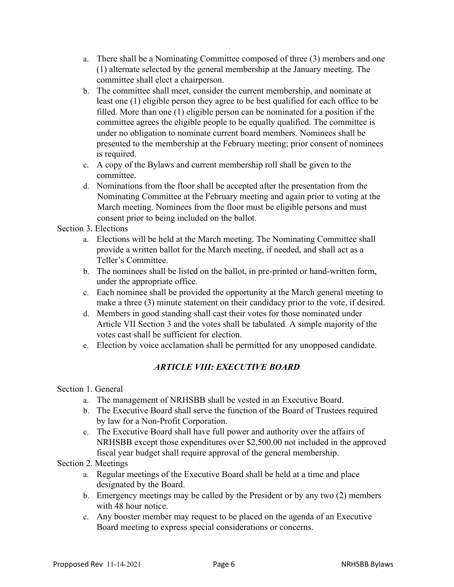- a. There shall be a Nominating Committee composed of three (3) members and one (1) alternate selected by the general membership at the January meeting. The committee shall elect a chairperson.
- b. The committee shall meet, consider the current membership, and nominate at least one (1) eligible person they agree to be best qualified for each office to be filled. More than one (1) eligible person can be nominated for a position if the committee agrees the eligible people to be equally qualified. The committee is under no obligation to nominate current board members. Nominees shall be presented to the membership at the February meeting; prior consent of nominees is required.
- c. A copy of the Bylaws and current membership roll shall be given to the committee.
- d. Nominations from the floor shall be accepted after the presentation from the Nominating Committee at the February meeting and again prior to voting at the March meeting. Nominees from the floor must be eligible persons and must consent prior to being included on the ballot.

# Section 3. Elections

- a. Elections will be held at the March meeting. The Nominating Committee shall provide a written ballot for the March meeting, if needed, and shall act as a Teller's Committee.
- b. The nominees shall be listed on the ballot, in pre-printed or hand-written form, under the appropriate office.
- c. Each nominee shall be provided the opportunity at the March general meeting to make a three (3) minute statement on their candidacy prior to the vote, if desired.
- d. Members in good standing shall cast their votes for those nominated under Article VII Section 3 and the votes shall be tabulated. A simple majority of the votes cast shall be sufficient for election.
- e. Election by voice acclamation shall be permitted for any unopposed candidate.

# *ARTICLE VIII: EXECUTIVE BOARD*

### Section 1. General

- a. The management of NRHSBB shall be vested in an Executive Board.
- b. The Executive Board shall serve the function of the Board of Trustees required by law for a Non-Profit Corporation.
- c. The Executive Board shall have full power and authority over the affairs of NRHSBB except those expenditures over \$2,500.00 not included in the approved fiscal year budget shall require approval of the general membership.

### Section 2. Meetings

- a. Regular meetings of the Executive Board shall be held at a time and place designated by the Board.
- b. Emergency meetings may be called by the President or by any two (2) members with 48 hour notice.
- c. Any booster member may request to be placed on the agenda of an Executive Board meeting to express special considerations or concerns.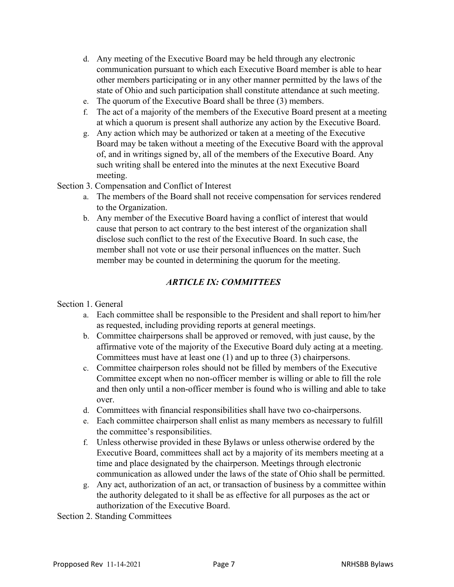- d. Any meeting of the Executive Board may be held through any electronic communication pursuant to which each Executive Board member is able to hear other members participating or in any other manner permitted by the laws of the state of Ohio and such participation shall constitute attendance at such meeting.
- e. The quorum of the Executive Board shall be three (3) members.
- f. The act of a majority of the members of the Executive Board present at a meeting at which a quorum is present shall authorize any action by the Executive Board.
- g. Any action which may be authorized or taken at a meeting of the Executive Board may be taken without a meeting of the Executive Board with the approval of, and in writings signed by, all of the members of the Executive Board. Any such writing shall be entered into the minutes at the next Executive Board meeting.
- Section 3. Compensation and Conflict of Interest
	- a. The members of the Board shall not receive compensation for services rendered to the Organization.
	- b. Any member of the Executive Board having a conflict of interest that would cause that person to act contrary to the best interest of the organization shall disclose such conflict to the rest of the Executive Board. In such case, the member shall not vote or use their personal influences on the matter. Such member may be counted in determining the quorum for the meeting.

# *ARTICLE IX: COMMITTEES*

### Section 1. General

- a. Each committee shall be responsible to the President and shall report to him/her as requested, including providing reports at general meetings.
- b. Committee chairpersons shall be approved or removed, with just cause, by the affirmative vote of the majority of the Executive Board duly acting at a meeting. Committees must have at least one (1) and up to three (3) chairpersons.
- c. Committee chairperson roles should not be filled by members of the Executive Committee except when no non-officer member is willing or able to fill the role and then only until a non-officer member is found who is willing and able to take over.
- d. Committees with financial responsibilities shall have two co-chairpersons.
- e. Each committee chairperson shall enlist as many members as necessary to fulfill the committee's responsibilities.
- f. Unless otherwise provided in these Bylaws or unless otherwise ordered by the Executive Board, committees shall act by a majority of its members meeting at a time and place designated by the chairperson. Meetings through electronic communication as allowed under the laws of the state of Ohio shall be permitted.
- g. Any act, authorization of an act, or transaction of business by a committee within the authority delegated to it shall be as effective for all purposes as the act or authorization of the Executive Board.

Section 2. Standing Committees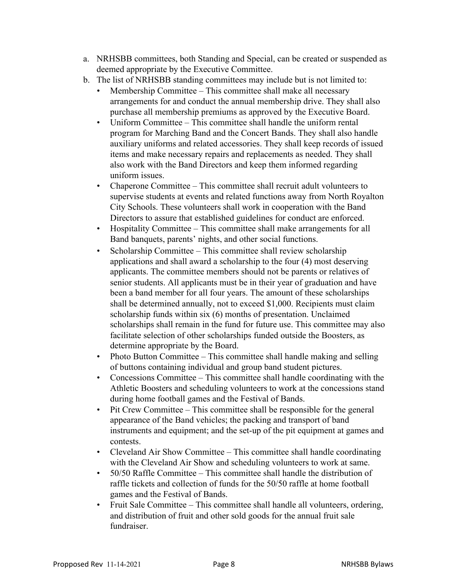- a. NRHSBB committees, both Standing and Special, can be created or suspended as deemed appropriate by the Executive Committee.
- b. The list of NRHSBB standing committees may include but is not limited to:
	- Membership Committee This committee shall make all necessary arrangements for and conduct the annual membership drive. They shall also purchase all membership premiums as approved by the Executive Board.
	- Uniform Committee This committee shall handle the uniform rental program for Marching Band and the Concert Bands. They shall also handle auxiliary uniforms and related accessories. They shall keep records of issued items and make necessary repairs and replacements as needed. They shall also work with the Band Directors and keep them informed regarding uniform issues.
	- Chaperone Committee This committee shall recruit adult volunteers to supervise students at events and related functions away from North Royalton City Schools. These volunteers shall work in cooperation with the Band Directors to assure that established guidelines for conduct are enforced.
	- Hospitality Committee This committee shall make arrangements for all Band banquets, parents' nights, and other social functions.
	- Scholarship Committee This committee shall review scholarship applications and shall award a scholarship to the four (4) most deserving applicants. The committee members should not be parents or relatives of senior students. All applicants must be in their year of graduation and have been a band member for all four years. The amount of these scholarships shall be determined annually, not to exceed \$1,000. Recipients must claim scholarship funds within six (6) months of presentation. Unclaimed scholarships shall remain in the fund for future use. This committee may also facilitate selection of other scholarships funded outside the Boosters, as determine appropriate by the Board.
	- Photo Button Committee This committee shall handle making and selling of buttons containing individual and group band student pictures.
	- Concessions Committee This committee shall handle coordinating with the Athletic Boosters and scheduling volunteers to work at the concessions stand during home football games and the Festival of Bands.
	- Pit Crew Committee This committee shall be responsible for the general appearance of the Band vehicles; the packing and transport of band instruments and equipment; and the set-up of the pit equipment at games and contests.
	- Cleveland Air Show Committee This committee shall handle coordinating with the Cleveland Air Show and scheduling volunteers to work at same.
	- 50/50 Raffle Committee This committee shall handle the distribution of raffle tickets and collection of funds for the 50/50 raffle at home football games and the Festival of Bands.
	- Fruit Sale Committee This committee shall handle all volunteers, ordering, and distribution of fruit and other sold goods for the annual fruit sale fundraiser.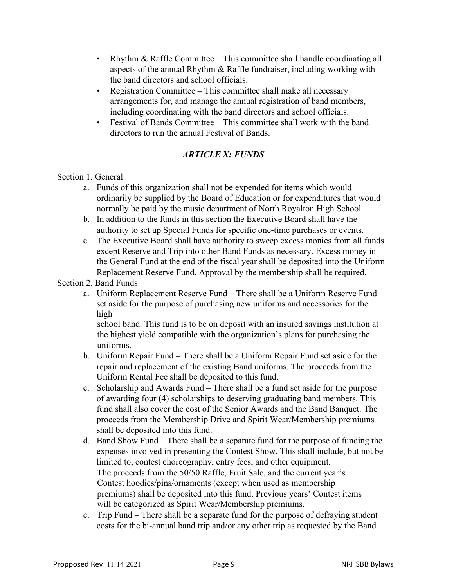- Rhythm & Raffle Committee This committee shall handle coordinating all aspects of the annual Rhythm & Raffle fundraiser, including working with the band directors and school officials.
- Registration Committee This committee shall make all necessary arrangements for, and manage the annual registration of band members, including coordinating with the band directors and school officials.
- Festival of Bands Committee This committee shall work with the band directors to run the annual Festival of Bands.

# *ARTICLE X: FUNDS*

### Section 1. General

- a. Funds of this organization shall not be expended for items which would ordinarily be supplied by the Board of Education or for expenditures that would normally be paid by the music department of North Royalton High School.
- b. In addition to the funds in this section the Executive Board shall have the authority to set up Special Funds for specific one-time purchases or events.
- c. The Executive Board shall have authority to sweep excess monies from all funds except Reserve and Trip into other Band Funds as necessary. Excess money in the General Fund at the end of the fiscal year shall be deposited into the Uniform Replacement Reserve Fund. Approval by the membership shall be required.

Section 2. Band Funds

a. Uniform Replacement Reserve Fund – There shall be a Uniform Reserve Fund set aside for the purpose of purchasing new uniforms and accessories for the high

school band. This fund is to be on deposit with an insured savings institution at the highest yield compatible with the organization's plans for purchasing the uniforms.

- b. Uniform Repair Fund There shall be a Uniform Repair Fund set aside for the repair and replacement of the existing Band uniforms. The proceeds from the Uniform Rental Fee shall be deposited to this fund.
- c. Scholarship and Awards Fund There shall be a fund set aside for the purpose of awarding four (4) scholarships to deserving graduating band members. This fund shall also cover the cost of the Senior Awards and the Band Banquet. The proceeds from the Membership Drive and Spirit Wear/Membership premiums shall be deposited into this fund.
- d. Band Show Fund There shall be a separate fund for the purpose of funding the expenses involved in presenting the Contest Show. This shall include, but not be limited to, contest choreography, entry fees, and other equipment. The proceeds from the 50/50 Raffle, Fruit Sale, and the current year's Contest hoodies/pins/ornaments (except when used as membership premiums) shall be deposited into this fund. Previous years' Contest items will be categorized as Spirit Wear/Membership premiums.
- e. Trip Fund There shall be a separate fund for the purpose of defraying student costs for the bi-annual band trip and/or any other trip as requested by the Band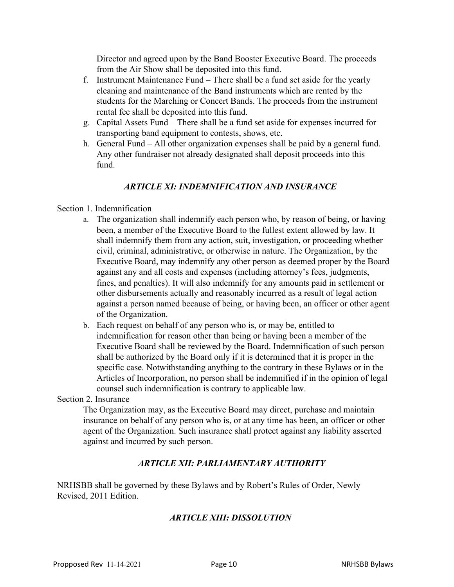Director and agreed upon by the Band Booster Executive Board. The proceeds from the Air Show shall be deposited into this fund.

- f. Instrument Maintenance Fund There shall be a fund set aside for the yearly cleaning and maintenance of the Band instruments which are rented by the students for the Marching or Concert Bands. The proceeds from the instrument rental fee shall be deposited into this fund.
- g. Capital Assets Fund There shall be a fund set aside for expenses incurred for transporting band equipment to contests, shows, etc.
- h. General Fund All other organization expenses shall be paid by a general fund. Any other fundraiser not already designated shall deposit proceeds into this fund.

# *ARTICLE XI: INDEMNIFICATION AND INSURANCE*

#### Section 1. Indemnification

- a. The organization shall indemnify each person who, by reason of being, or having been, a member of the Executive Board to the fullest extent allowed by law. It shall indemnify them from any action, suit, investigation, or proceeding whether civil, criminal, administrative, or otherwise in nature. The Organization, by the Executive Board, may indemnify any other person as deemed proper by the Board against any and all costs and expenses (including attorney's fees, judgments, fines, and penalties). It will also indemnify for any amounts paid in settlement or other disbursements actually and reasonably incurred as a result of legal action against a person named because of being, or having been, an officer or other agent of the Organization.
- b. Each request on behalf of any person who is, or may be, entitled to indemnification for reason other than being or having been a member of the Executive Board shall be reviewed by the Board. Indemnification of such person shall be authorized by the Board only if it is determined that it is proper in the specific case. Notwithstanding anything to the contrary in these Bylaws or in the Articles of Incorporation, no person shall be indemnified if in the opinion of legal counsel such indemnification is contrary to applicable law.

Section 2. Insurance

The Organization may, as the Executive Board may direct, purchase and maintain insurance on behalf of any person who is, or at any time has been, an officer or other agent of the Organization. Such insurance shall protect against any liability asserted against and incurred by such person.

# *ARTICLE XII: PARLIAMENTARY AUTHORITY*

NRHSBB shall be governed by these Bylaws and by Robert's Rules of Order, Newly Revised, 2011 Edition.

### *ARTICLE XIII: DISSOLUTION*